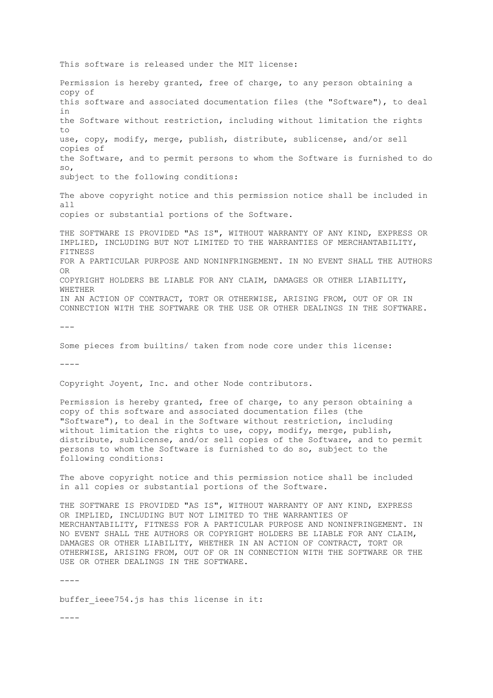This software is released under the MIT license: Permission is hereby granted, free of charge, to any person obtaining a copy of this software and associated documentation files (the "Software"), to deal in the Software without restriction, including without limitation the rights to use, copy, modify, merge, publish, distribute, sublicense, and/or sell copies of the Software, and to permit persons to whom the Software is furnished to do so, subject to the following conditions: The above copyright notice and this permission notice shall be included in all copies or substantial portions of the Software. THE SOFTWARE IS PROVIDED "AS IS", WITHOUT WARRANTY OF ANY KIND, EXPRESS OR IMPLIED, INCLUDING BUT NOT LIMITED TO THE WARRANTIES OF MERCHANTABILITY, FITNESS FOR A PARTICULAR PURPOSE AND NONINFRINGEMENT. IN NO EVENT SHALL THE AUTHORS  $\cap$ COPYRIGHT HOLDERS BE LIABLE FOR ANY CLAIM, DAMAGES OR OTHER LIABILITY, WHETHER IN AN ACTION OF CONTRACT, TORT OR OTHERWISE, ARISING FROM, OUT OF OR IN CONNECTION WITH THE SOFTWARE OR THE USE OR OTHER DEALINGS IN THE SOFTWARE. --- Some pieces from builtins/ taken from node core under this license:  $---$ Copyright Joyent, Inc. and other Node contributors. Permission is hereby granted, free of charge, to any person obtaining a copy of this software and associated documentation files (the "Software"), to deal in the Software without restriction, including without limitation the rights to use, copy, modify, merge, publish, distribute, sublicense, and/or sell copies of the Software, and to permit persons to whom the Software is furnished to do so, subject to the following conditions: The above copyright notice and this permission notice shall be included in all copies or substantial portions of the Software. THE SOFTWARE IS PROVIDED "AS IS", WITHOUT WARRANTY OF ANY KIND, EXPRESS OR IMPLIED, INCLUDING BUT NOT LIMITED TO THE WARRANTIES OF MERCHANTABILITY, FITNESS FOR A PARTICULAR PURPOSE AND NONINFRINGEMENT. IN NO EVENT SHALL THE AUTHORS OR COPYRIGHT HOLDERS BE LIABLE FOR ANY CLAIM, DAMAGES OR OTHER LIABILITY, WHETHER IN AN ACTION OF CONTRACT, TORT OR OTHERWISE, ARISING FROM, OUT OF OR IN CONNECTION WITH THE SOFTWARE OR THE USE OR OTHER DEALINGS IN THE SOFTWARE. ----

buffer ieee754.js has this license in it:

 $----$